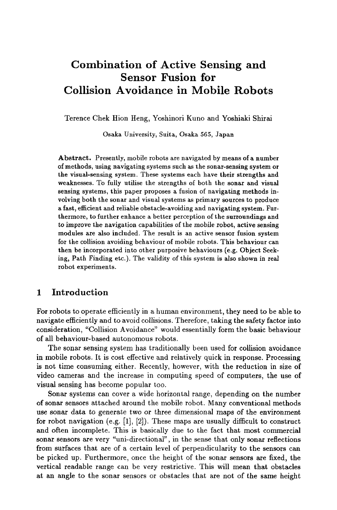# **Combination of Active Sensing and Sensor Fusion for Collision Avoidance in Mobile Robots**

Terence Chek Hion Heng, Yoshinori Kuno and Yoshiaki Shirai

Osaka University, Suita, Osaka 565, Japan

Abstract, Presently, mobile robots are navigated by means of a number of methods, using navigating systems such as the sonar-sensing system **or**  the visual-sensing system. These systems each have their strengths and weaknesses. To fully utilise the strengths of both the sonar and visual sensing systems, this paper proposes a fusion of navigating methods involving both the sonar and visual systems as primary sources to produce a fast, efficient and reliable obstacle-avoiding and navigating system. Furthermore, to further enhance a better perception of the surroundings **and**  to improve the navigation capabilities of the mobile robot, active sensing modules are also included. The result is an active sensor fusion system for the collision avoiding behaviour of mobile robots. This behaviour can then be incorporated into other purposive behaviours (e.g. Object Seeking, Path Finding etc.). The validity of this system is also shown in real **robot** experiments.

# **1 Introduction**

For robots to operate efficiently in a human environment, they need to be able to navigate efficiently and to avoid collisions. Therefore, taking the safety factor into consideration, "Collision Avoidance" would essentially form the basic behaviour of all behaviour-based autonomous robots.

The sonar sensing system has traditionally been used for collision avoidance in mobile robots. It is cost effective and relatively quick in response. Processing is not time consuming either. Recently, however, with the reduction in size of video cameras and the increase in computing speed of computers, the use of visual sensing has become popular too.

Sonar systems can cover a wide horizontal range, depending on the number of sonar sensors attached around the mobile robot. Many conventional methods use sonar data to generate two or three dimensional maps of the environment for robot navigation (e.g. [1], [2]). These maps are usually difficult to construct and often incomplete. This is basically due to the fact that most commercial sonar sensors are very "uni-directional", in the sense that only sonar reflections from surfaces that are of a certain level of perpendicularity to the sensors can be picked up. Furthermore, once the height of the sonar sensors are fixed, the vertical readable range can be very restrictive. This will mean that obstacles at an angle to the sonar sensors or obstacles that are not of the same height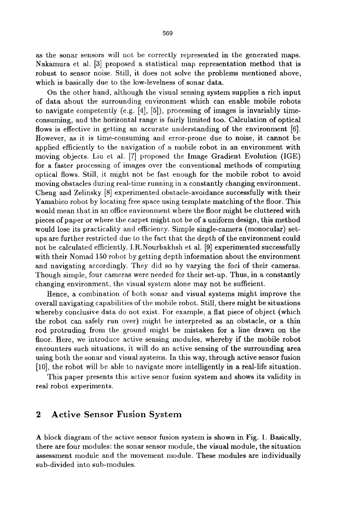as the sonar sensors will not be correctly represented in the generated maps. Nakamura et al. [3] proposed a statistical map representation method that is robust to sensor noise. Still, it does not solve the problems mentioned above, which is basically due to the low-levelness of sonar data.

On the other hand, although the visual sensing system supplies a rich input of data about the surrounding environment which can enable mobile robots to navigate competently (e.g. [4], [5]), processing of images is invariably timeconsuming, and the horizontal range is fairly limited too. Calculation of optical flows is effective in getting an accurate understanding of the environment [6]. However, as it is time-consuming and error-prone due to noise, it cannot be applied efficiently to the navigation of a mobile robot in an environment with moving objects. Liu et al. [7] proposed the Image Gradient Evolution (IGE) for a faster processing of images over the conventional methods of computing optical flows. Still, it might not be fast enough for the mobile robot to avoid moving obstacles during real-time running in a constantly changing environment. Cheng and Zelinsky [8] experimented obstacle-avoidance successfully with their Yamabico robot by locating free space using template matching of the floor. This would mean that in an office environment where the floor might be cluttered with pieces of paper or where the carpet might not be of a uniform design, this method would lose its practicality and efficiency. Simple single-camera (monocular) setups are further restricted due to the fact that the depth of the environment could not be calculated efficiently. I.R.Nourbakhsh et al. [9] experimented successfully with their Nomad 150 robot by getting depth information about the environment and navigating accordingly. They did so by varying the foci of their cameras. Though simple, four cameras were needed for their set-up. Thus, in a constantly changing environment, the visual system alone may not be sufficient.

Hence, a combination of both sonar and visual systems might improve the overall navigating capabilities of the mobile robot. Still, there might be situations whereby conclusive data do not exist. For example, a flat piece of object (which the robot can safely run over) might be interpreted as an obstacle, or a thin rod protruding from the ground might be mistaken for a line drawn on the floor. Here, we introduce active sensing modules, whereby if the mobile robot encounters such situations, it will do an active sensing of the surrounding area using both the sonar and visual systems. In this way, through active sensor fusion [10], the robot will be able to navigate more intelligently in a real-life situation.

This paper presents this active senor fusion system and shows its validity in real robot experiments.

## 2 Active Sensor Fusion System

A block diagram of the active sensor fusion system is shown in Fig. 1. Basically, there are four modules: the sonar sensor module, the visual module, the situation assessment module and the movement module. These modules are individually sub-divided into sub-modules.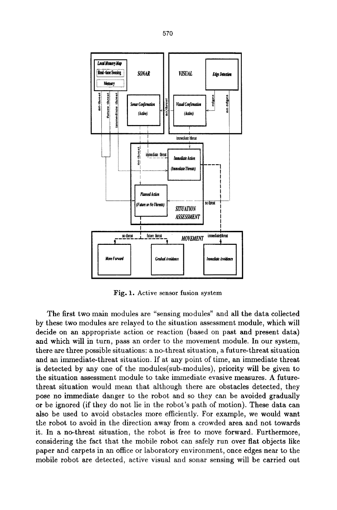

Fig. 1. Active sensor fusion system

The first two main modules are "sensing modules" and all the data collected by these two modules are relayed to the situation assessment module, which will decide on an appropriate action or reaction (based on past and present data) and which will in turn, pass an order to the movement module. In our system, there are three possible situations: a no-threat situation, a future-threat situation and an immediate-threat situation. If at any point of time, an immediate threat is detected by any one of the modules(sub-modules), priority will be given to the situation assessment module to take immediate evasive measures. A futurethreat situation would mean that although there are obstacles detected, they pose no immediate danger to the robot and so they can be avoided gradually or be ignored (if they do not lie in the robot's path of motion). These data can also be used to avoid obstacles more efficiently. For example, we would want the robot to avoid in the direction away from a crowded area and not towards it. In a no-threat situation, the robot is free to move forward. Furthermore, considering the fact that the mobile robot can safely run over flat objects like paper and carpets in an office or laboratory environment, once edges near to the mobile robot are detected, active visual and sonar sensing will be carried out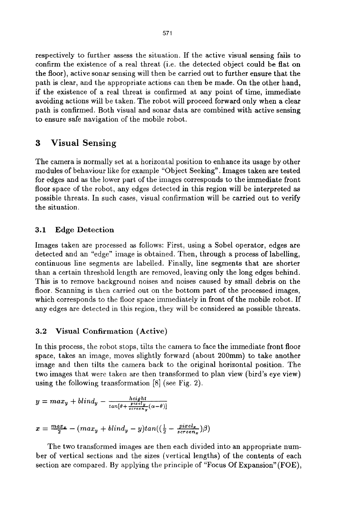respectively to further assess the situation. If the active visual sensing fails to confirm the existence of a real threat (i.e. the detected object could be flat on the floor), active sonar sensing will then be carried out to further ensure that the path is clear, and the appropriate actions can then be made. On the other hand, if the existence of a real threat is confirmed at any point of time, immediate avoiding actions will be taken. The robot will proceed forward only when a clear path is confirmed. Both visual and sonar data are combined with active sensing to ensure safe navigation of the mobile robot.

# **3 Visual Sensing**

The camera is normally set at a horizontal position to enhance its usage by other modules of behaviour like for example "Object Seeking". Images taken are tested for edges and as the lower part of the images corresponds to the immediate front floor space of the robot, any edges detected in this region will be interpreted as possible threats. In such cases, visual confirmation will be carried out to verify the situation.

### 3.1 Edge Detection

Images taken are processed as follows: First, using a Sobel operator, edges are detected and an "edge" image is obtained. Then, through a process of labelling, continuous line segments are labelled. Finally, line segments that are shorter than a certain threshold length are removed, leaving only the long edges behind. This is to remove background noises and noises caused by small debris on the floor. Scanning is then carried out on the bottom part of the processed images, which corresponds to the floor space immediately in front of the mobile robot. If any edges are detected in this region, they will be considered as possible threats.

### 3.2 Visual Confirmation (Active)

In this process, the robot stops, tilts the camera to face the immediate front floor space, takes an image, moves slightly forward (about 200mm) to take another image and then tilts the camera back to the original horizontal position. The two images that were taken are then transformed to plan view (bird's eye view) using the following transformation [8] (see Fig. 2).

$$
y = max_y + blind_y - \frac{height}{tan[\theta + \frac{pixel_y}{screen_y}(\alpha - \theta)]}
$$

$$
x = \frac{max_x}{2} - (max_y + blind_y - y)tan((\frac{1}{2} - \frac{pixel_x}{screen_x})\beta)
$$

The two transformed images are then each divided into an appropriate number of vertical sections and the sizes (vertical lengths) of the contents of each section are compared. By applying the principle of "Focus Of Expansion" (FOE),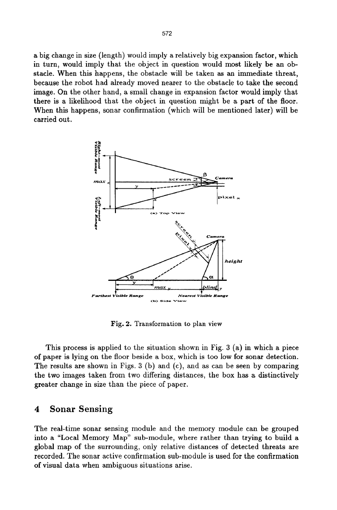a big change in size (length) would imply a relatively big expansion factor, which in turn, would imply that the object in question would most likely be an obstacle. When this happens, the obstacle will be taken as an immediate threat, because the robot had already moved nearer to the obstacle to take the second image. On the other hand, a small change in expansion factor would imply that there is a likelihood that the object in question might be a part of the floor. When this happens, sonar confirmation (which will be mentioned later) will be carried out.



Fig. 2. Transformation to plan view

This process is applied to the situation shown in Fig. 3 (a) in which a piece of paper is lying on the floor beside a box, which is too low for sonar detection. The results are shown in Figs. 3 (b) and (c), and as can be seen by comparing the two images taken from two differing distances, the box has a distinctively greater change in size than the piece of paper.

## 4 Sonar Sensing

The real-time sonar sensing module and the memory module can be grouped into a "Local Memory Map" sub-module, where rather than trying to build a global map of the surrounding, only relative distances of detected threats are recorded. The sonar active confirmation sub-module is used for the confirmation of visual data when ambiguous situations arise.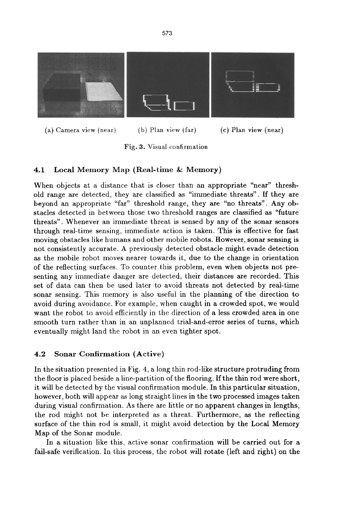

(a) Camera view (near) (b) Plan view (far) (c) Plan view (near)

#### Fig. 3. Visual confirmation

## 4.1 Local Memory Map (Real-time & Memory)

When objects at a distance that is closer than an appropriate "near" threshold range are detected, they are classified as "immediate threats". If they are beyond an appropriate *"far"* threshold range, they are "no threats". Any obstacles detected in between those two threshold ranges are classified as "future threats". Whenever an immediate threat is sensed by any of the sonar sensors through real-time sensing, immediate action is taken. This is effective for fast moving obstacles like humans and other mobile robots. However, sonar sensing is not consistently accurate. A previously detected obstacle might evade detection as the mobile robot moves nearer towards it, due to the change in orientation of the reflecting surfaces. To counter this problem, even when objects not presenting any immediate danger are detected, their distances are recorded. This set of data can then be used later to avoid threats not detected by real-time sonar sensing. This memory is also useful in the planning of the direction to avoid during avoidance. For example, when caught in a crowded spot, we would want the robot to avoid efficiently in the direction of a less crowded area in one smooth turn rather than in an unplanned trial-and-error series of turns, which eventually might land the robot in an even tighter spot.

### 4.2 Sonar Confirmation (Active)

In the situation presented in Fig. 4, a long thin rod-like structure protruding from the floor is placed beside a line-partition of the flooring. If the thin rod were short, it will be detected by the visual confirmation module. In this particular situation, however, both will appear as long straight lines in the two processed images taken during visual confirmation. As there are little or no apparent changes in lengths, the rod might not be interpreted as a threat. Furthermore, as the reflecting surface of the thin rod is small, it might avoid detection by the Local Memory Map of the Sonar module.

In a situation like this, active sonar confirmation will be carried out for a fail-safe verification. In this process, the robot will rotate (left and right) on the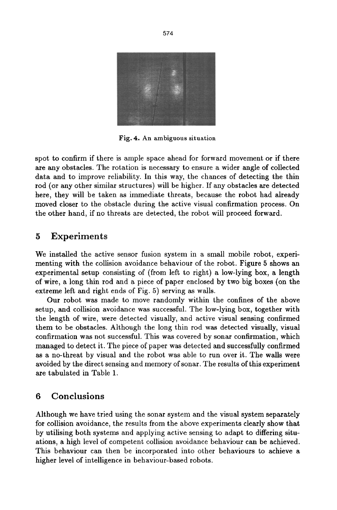

Fig. 4. An ambiguous situation

spot to confirm if there is ample space ahead for forward movement or if there are any obstacles. The rotation is necessary to ensure a wider angle of collected data and to improve reliability. In this way, the chances of detecting the thin rod (or any other similar structures) wilt be higher. If any obstacles are detected here, they will be taken as immediate threats, because the robot had already moved closer to the obstacle during the active visual confirmation process. On the other hand, if no threats are detected, the robot will proceed forward.

# **5 Experiments**

We installed the active sensor fusion system in a small mobile robot, experimenting with the collision avoidance behaviour of the robot. Figure 5 shows an experimental setup consisting of (from left to right) a low-lying box, a length of wire, a long thin rod and a piece of paper enclosed by two big boxes (on the extreme left and right ends of Fig. 5) serving as walls.

Our robot was made to move randomly within the confines of the above setup, and collision avoidance was successful. The low-lying box, together with the length of wire, were detected visually, and active visual sensing confirmed them to be obstacles. Although the long thin rod was detected visually, visual confirmation was not successful. This was covered by sonar confirmation, which managed to detect it. The piece of paper was detected and successfully confirmed as a no-threat by visual and the robot was able to run over it. The walls were avoided by the direct sensing and memory of sonar. The results of this experiment are tabulated in Table 1.

# **6 Conclusions**

Although we have tried using the sonar system and the visual system separately for collision avoidance, the results from the above experiments clearly show that by utilising both systems and applying active sensing to adapt to differing situations, a high level of competent collision avoidance behaviour can be achieved. This behaviour can then be incorporated into other behaviours to achieve a higher level of intelligence in behaviour-based robots.